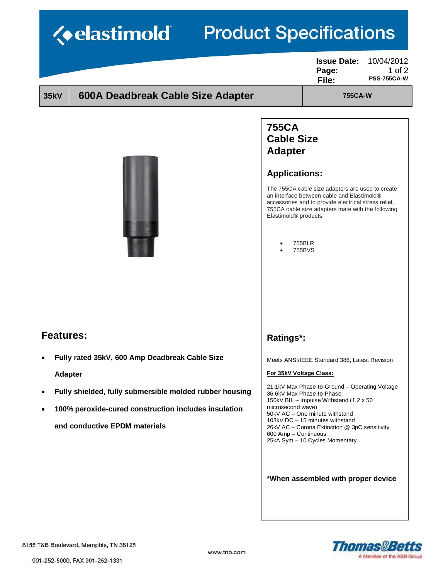|                                                           |                                                                                                                                      | <b>Issue Date:</b><br>Page:<br>File:                                                                                                                                                                        | 10/04/2012<br>1 of $2$<br><b>PSS-755CA-W</b> |
|-----------------------------------------------------------|--------------------------------------------------------------------------------------------------------------------------------------|-------------------------------------------------------------------------------------------------------------------------------------------------------------------------------------------------------------|----------------------------------------------|
| 600A Deadbreak Cable Size Adapter<br><b>35kV</b>          |                                                                                                                                      | <b>755CA-W</b>                                                                                                                                                                                              |                                              |
|                                                           | <b>755CA</b><br><b>Cable Size</b><br><b>Adapter</b><br><b>Applications:</b><br>Elastimold <sup>®</sup> products:<br>755BLR<br>755BVS | The 755CA cable size adapters are used to create<br>an interface between cable and Elastimold®<br>accessories and to provide electrical stress relief.<br>755CA cable size adapters mate with the following |                                              |
| <b>Features:</b>                                          | Ratings*:                                                                                                                            |                                                                                                                                                                                                             |                                              |
|                                                           |                                                                                                                                      | Meets ANSI/IEEE Standard 386, Latest Revision                                                                                                                                                               |                                              |
| Fully rated 35kV, 600 Amp Deadbreak Cable Size            |                                                                                                                                      |                                                                                                                                                                                                             |                                              |
| <b>Adapter</b>                                            | For 35kV Voltage Class:                                                                                                              |                                                                                                                                                                                                             |                                              |
| Fully shielded, fully submersible molded rubber housing   | 36.6kV Max Phase-to-Phase                                                                                                            | 21.1kV Max Phase-to-Ground – Operating Voltage                                                                                                                                                              |                                              |
| ٠<br>100% peroxide-cured construction includes insulation | microsecond wave)                                                                                                                    | 150kV BIL - Impulse Withstand (1.2 x 50)<br>50kV AC - One minute withstand                                                                                                                                  |                                              |
| and conductive EPDM materials                             | 600 Amp - Continuous                                                                                                                 | 103kV DC - 15 minutes withstand<br>26kV AC - Corona Extinction @ 3pC sensitivity<br>25kA Sym - 10 Cycles Momentary                                                                                          |                                              |
|                                                           |                                                                                                                                      | *When assembled with proper device                                                                                                                                                                          |                                              |